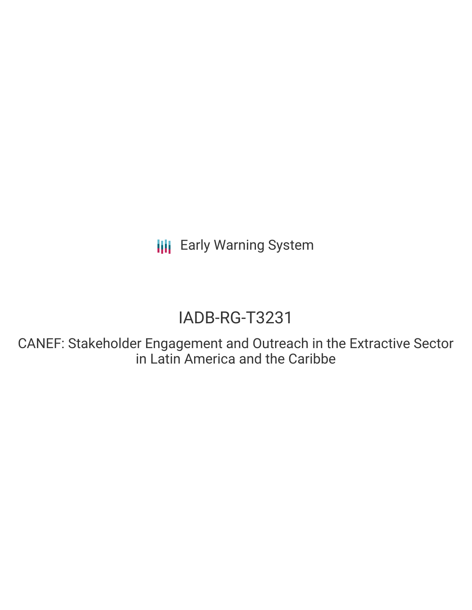**III** Early Warning System

# IADB-RG-T3231

CANEF: Stakeholder Engagement and Outreach in the Extractive Sector in Latin America and the Caribbe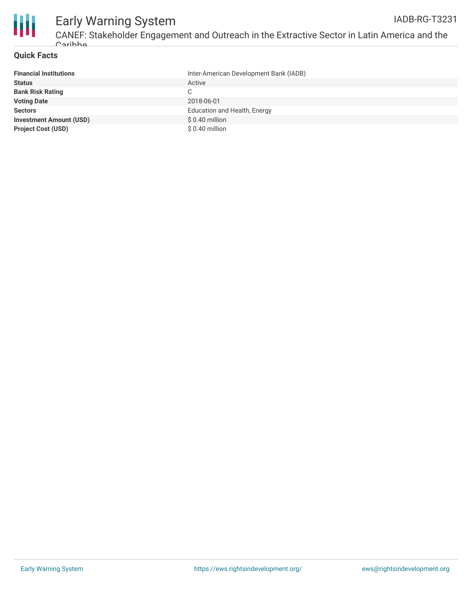

## **Quick Facts**

| <b>Financial Institutions</b>  | Inter-American Development Bank (IADB) |
|--------------------------------|----------------------------------------|
| <b>Status</b>                  | Active                                 |
| <b>Bank Risk Rating</b>        |                                        |
| <b>Voting Date</b>             | 2018-06-01                             |
| <b>Sectors</b>                 | Education and Health, Energy           |
| <b>Investment Amount (USD)</b> | $$0.40$ million                        |
| <b>Project Cost (USD)</b>      | $$0.40$ million                        |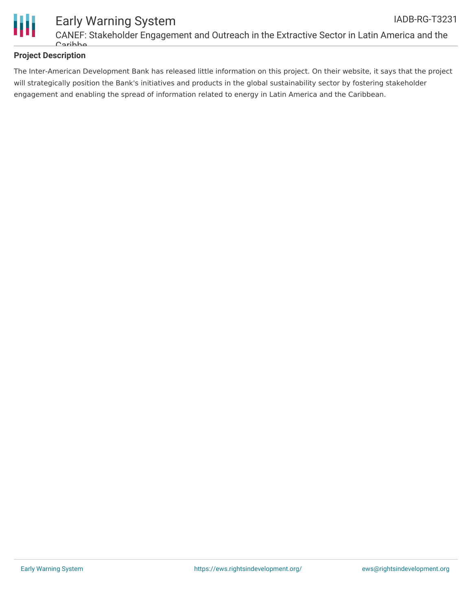

# **Project Description**

The Inter-American Development Bank has released little information on this project. On their website, it says that the project will strategically position the Bank's initiatives and products in the global sustainability sector by fostering stakeholder engagement and enabling the spread of information related to energy in Latin America and the Caribbean.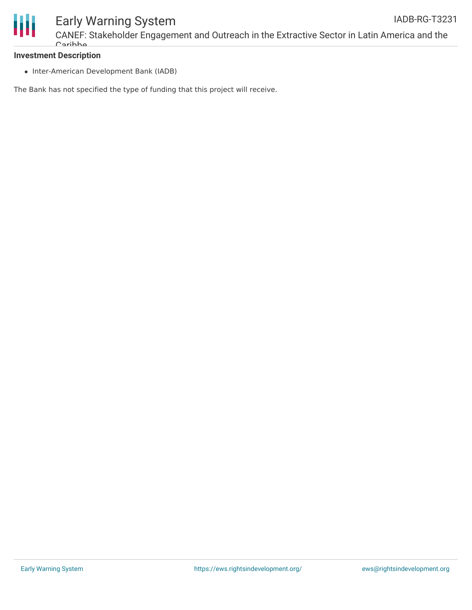

#### **Investment Description**

• Inter-American Development Bank (IADB)

The Bank has not specified the type of funding that this project will receive.